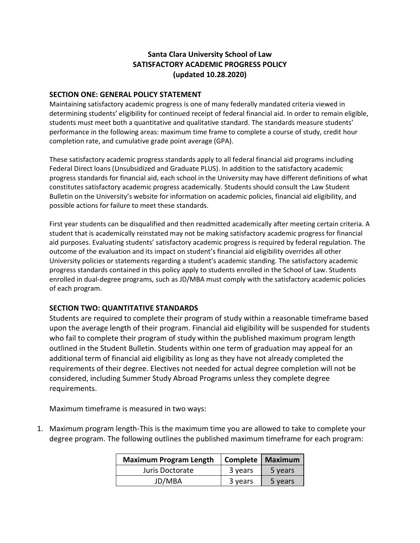## **Santa Clara University School of Law SATISFACTORY ACADEMIC PROGRESS POLICY (updated 10.28.2020)**

#### **SECTION ONE: GENERAL POLICY STATEMENT**

Maintaining satisfactory academic progress is one of many federally mandated criteria viewed in determining students' eligibility for continued receipt of federal financial aid. In order to remain eligible, students must meet both a quantitative and qualitative standard. The standards measure students' performance in the following areas: maximum time frame to complete a course of study, credit hour completion rate, and cumulative grade point average (GPA).

These satisfactory academic progress standards apply to all federal financial aid programs including Federal Direct loans (Unsubsidized and Graduate PLUS). In addition to the satisfactory academic progress standards for financial aid, each school in the University may have different definitions of what constitutes satisfactory academic progress academically. Students should consult the Law Student Bulletin on the University's website for information on academic policies, financial aid eligibility, and possible actions for failure to meet these standards.

First year students can be disqualified and then readmitted academically after meeting certain criteria. A student that is academically reinstated may not be making satisfactory academic progress for financial aid purposes. Evaluating students' satisfactory academic progress is required by federal regulation. The outcome of the evaluation and its impact on student's financial aid eligibility overrides all other University policies or statements regarding a student's academic standing. The satisfactory academic progress standards contained in this policy apply to students enrolled in the School of Law. Students enrolled in dual-degree programs, such as JD/MBA must comply with the satisfactory academic policies of each program.

#### **SECTION TWO: QUANTITATIVE STANDARDS**

Students are required to complete their program of study within a reasonable timeframe based upon the average length of their program. Financial aid eligibility will be suspended for students who fail to complete their program of study within the published maximum program length outlined in the Student Bulletin. Students within one term of graduation may appeal for an additional term of financial aid eligibility as long as they have not already completed the requirements of their degree. Electives not needed for actual degree completion will not be considered, including Summer Study Abroad Programs unless they complete degree requirements.

Maximum timeframe is measured in two ways:

1. Maximum program length-This is the maximum time you are allowed to take to complete your degree program. The following outlines the published maximum timeframe for each program:

| <b>Maximum Program Length</b> | Complete   Maximum |         |
|-------------------------------|--------------------|---------|
| Juris Doctorate               | 3 years            | 5 years |
| JD/MBA                        | 3 years            | 5 years |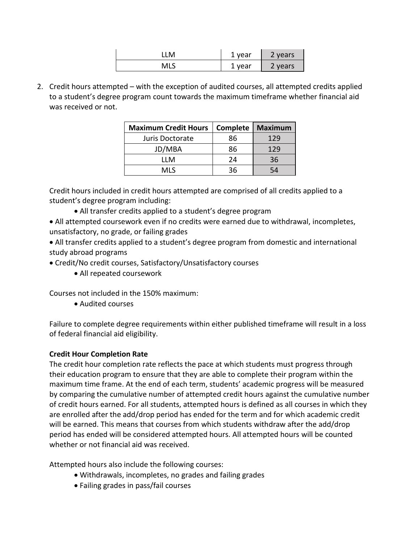|     | . year<br>ᅩ             | 2 years |
|-----|-------------------------|---------|
| MLS | year<br><u>. на стр</u> | vears   |

2. Credit hours attempted – with the exception of audited courses, all attempted credits applied to a student's degree program count towards the maximum timeframe whether financial aid was received or not.

| <b>Maximum Credit Hours</b> | Complete | <b>Maximum</b> |
|-----------------------------|----------|----------------|
| Juris Doctorate             | 86       | 129            |
| JD/MBA                      | 86       | 129            |
| I I M                       | 24       | 36             |
| MI S                        | วร       |                |

Credit hours included in credit hours attempted are comprised of all credits applied to a student's degree program including:

All transfer credits applied to a student's degree program

 All attempted coursework even if no credits were earned due to withdrawal, incompletes, unsatisfactory, no grade, or failing grades

 All transfer credits applied to a student's degree program from domestic and international study abroad programs

Credit/No credit courses, Satisfactory/Unsatisfactory courses

All repeated coursework

Courses not included in the 150% maximum:

Audited courses

Failure to complete degree requirements within either published timeframe will result in a loss of federal financial aid eligibility.

# **Credit Hour Completion Rate**

The credit hour completion rate reflects the pace at which students must progress through their education program to ensure that they are able to complete their program within the maximum time frame. At the end of each term, students' academic progress will be measured by comparing the cumulative number of attempted credit hours against the cumulative number of credit hours earned. For all students, attempted hours is defined as all courses in which they are enrolled after the add/drop period has ended for the term and for which academic credit will be earned. This means that courses from which students withdraw after the add/drop period has ended will be considered attempted hours. All attempted hours will be counted whether or not financial aid was received.

Attempted hours also include the following courses:

- Withdrawals, incompletes, no grades and failing grades
- Failing grades in pass/fail courses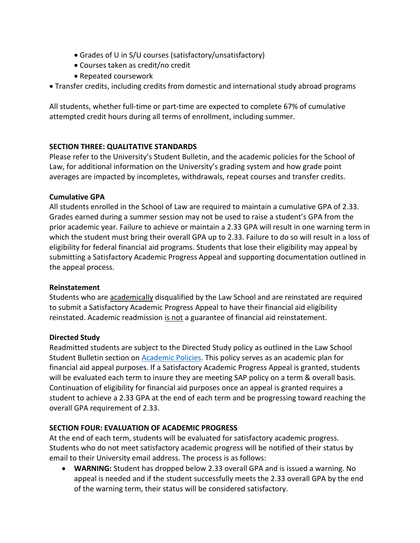- Grades of U in S/U courses (satisfactory/unsatisfactory)
- Courses taken as credit/no credit
- Repeated coursework
- Transfer credits, including credits from domestic and international study abroad programs

All students, whether full-time or part-time are expected to complete 67% of cumulative attempted credit hours during all terms of enrollment, including summer.

### **SECTION THREE: QUALITATIVE STANDARDS**

Please refer to the University's Student Bulletin, and the academic policies for the School of Law, for additional information on the University's grading system and how grade point averages are impacted by incompletes, withdrawals, repeat courses and transfer credits.

### **Cumulative GPA**

All students enrolled in the School of Law are required to maintain a cumulative GPA of 2.33. Grades earned during a summer session may not be used to raise a student's GPA from the prior academic year. Failure to achieve or maintain a 2.33 GPA will result in one warning term in which the student must bring their overall GPA up to 2.33. Failure to do so will result in a loss of eligibility for federal financial aid programs. Students that lose their eligibility may appeal by submitting a Satisfactory Academic Progress Appeal and supporting documentation outlined in the appeal process.

### **Reinstatement**

Students who are academically disqualified by the Law School and are reinstated are required to submit a Satisfactory Academic Progress Appeal to have their financial aid eligibility reinstated. Academic readmission is not a guarantee of financial aid reinstatement.

### **Directed Study**

Readmitted students are subject to the Directed Study policy as outlined in the Law School Student Bulletin section on [Academic Policies.](https://law.scu.edu/bulletin/academic-policies/) This policy serves as an academic plan for financial aid appeal purposes. If a Satisfactory Academic Progress Appeal is granted, students will be evaluated each term to insure they are meeting SAP policy on a term & overall basis. Continuation of eligibility for financial aid purposes once an appeal is granted requires a student to achieve a 2.33 GPA at the end of each term and be progressing toward reaching the overall GPA requirement of 2.33.

# **SECTION FOUR: EVALUATION OF ACADEMIC PROGRESS**

At the end of each term, students will be evaluated for satisfactory academic progress. Students who do not meet satisfactory academic progress will be notified of their status by email to their University email address. The process is as follows:

 **WARNING:** Student has dropped below 2.33 overall GPA and is issued a warning. No appeal is needed and if the student successfully meets the 2.33 overall GPA by the end of the warning term, their status will be considered satisfactory.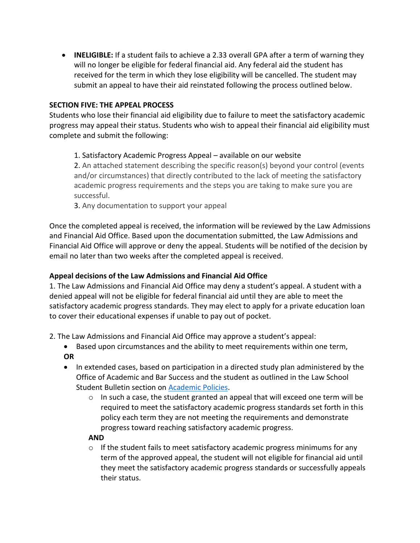**INELIGIBLE:** If a student fails to achieve a 2.33 overall GPA after a term of warning they will no longer be eligible for federal financial aid. Any federal aid the student has received for the term in which they lose eligibility will be cancelled. The student may submit an appeal to have their aid reinstated following the process outlined below.

#### **SECTION FIVE: THE APPEAL PROCESS**

Students who lose their financial aid eligibility due to failure to meet the satisfactory academic progress may appeal their status. Students who wish to appeal their financial aid eligibility must complete and submit the following:

#### 1. Satisfactory Academic Progress Appeal – available on our website

2. An attached statement describing the specific reason(s) beyond your control (events and/or circumstances) that directly contributed to the lack of meeting the satisfactory academic progress requirements and the steps you are taking to make sure you are successful.

3. Any documentation to support your appeal

Once the completed appeal is received, the information will be reviewed by the Law Admissions and Financial Aid Office. Based upon the documentation submitted, the Law Admissions and Financial Aid Office will approve or deny the appeal. Students will be notified of the decision by email no later than two weeks after the completed appeal is received.

### **Appeal decisions of the Law Admissions and Financial Aid Office**

1. The Law Admissions and Financial Aid Office may deny a student's appeal. A student with a denied appeal will not be eligible for federal financial aid until they are able to meet the satisfactory academic progress standards. They may elect to apply for a private education loan to cover their educational expenses if unable to pay out of pocket.

- 2. The Law Admissions and Financial Aid Office may approve a student's appeal:
	- Based upon circumstances and the ability to meet requirements within one term, **OR**
	- In extended cases, based on participation in a directed study plan administered by the Office of Academic and Bar Success and the student as outlined in the Law School Student Bulletin section on [Academic Policies.](https://law.scu.edu/bulletin/academic-policies/)
		- $\circ$  In such a case, the student granted an appeal that will exceed one term will be required to meet the satisfactory academic progress standards set forth in this policy each term they are not meeting the requirements and demonstrate progress toward reaching satisfactory academic progress.

#### **AND**

 $\circ$  If the student fails to meet satisfactory academic progress minimums for any term of the approved appeal, the student will not eligible for financial aid until they meet the satisfactory academic progress standards or successfully appeals their status.